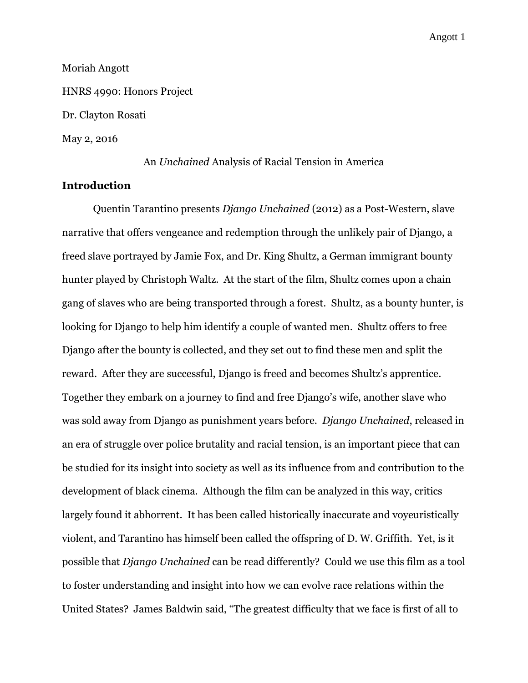Moriah Angott HNRS 4990: Honors Project Dr. Clayton Rosati May 2, 2016

An *Unchained* Analysis of Racial Tension in America

# **Introduction**

Quentin Tarantino presents *Django Unchained* (2012) as a Post-Western, slave narrative that offers vengeance and redemption through the unlikely pair of Django, a freed slave portrayed by Jamie Fox, and Dr. King Shultz, a German immigrant bounty hunter played by Christoph Waltz. At the start of the film, Shultz comes upon a chain gang of slaves who are being transported through a forest. Shultz, as a bounty hunter, is looking for Django to help him identify a couple of wanted men. Shultz offers to free Django after the bounty is collected, and they set out to find these men and split the reward. After they are successful, Django is freed and becomes Shultz's apprentice. Together they embark on a journey to find and free Django's wife, another slave who was sold away from Django as punishment years before. *Django Unchained*, released in an era of struggle over police brutality and racial tension, is an important piece that can be studied for its insight into society as well as its influence from and contribution to the development of black cinema. Although the film can be analyzed in this way, critics largely found it abhorrent. It has been called historically inaccurate and voyeuristically violent, and Tarantino has himself been called the offspring of D. W. Griffith. Yet, is it possible that *Django Unchained* can be read differently? Could we use this film as a tool to foster understanding and insight into how we can evolve race relations within the United States? James Baldwin said, "The greatest difficulty that we face is first of all to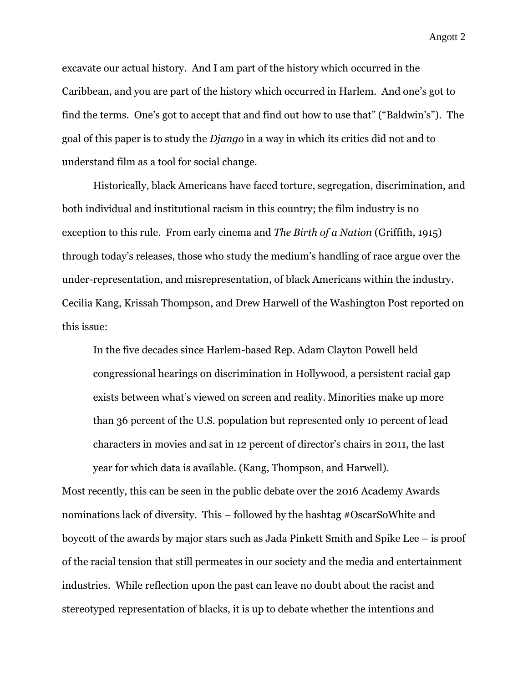excavate our actual history. And I am part of the history which occurred in the Caribbean, and you are part of the history which occurred in Harlem. And one's got to find the terms. One's got to accept that and find out how to use that" ("Baldwin's"). The goal of this paper is to study the *Django* in a way in which its critics did not and to understand film as a tool for social change.

Historically, black Americans have faced torture, segregation, discrimination, and both individual and institutional racism in this country; the film industry is no exception to this rule. From early cinema and *The Birth of a Nation* (Griffith, 1915) through today's releases, those who study the medium's handling of race argue over the under-representation, and misrepresentation, of black Americans within the industry. Cecilia Kang, Krissah Thompson, and Drew Harwell of the Washington Post reported on this issue:

In the five decades since Harlem-based Rep. Adam Clayton Powell held congressional hearings on discrimination in Hollywood, a persistent racial gap exists between what's viewed on screen and reality. Minorities make up more than 36 percent of the U.S. population but represented only 10 percent of lead characters in movies and sat in 12 percent of director's chairs in 2011, the last year for which data is available. (Kang, Thompson, and Harwell).

Most recently, this can be seen in the public debate over the 2016 Academy Awards nominations lack of diversity. This – followed by the hashtag #OscarSoWhite and boycott of the awards by major stars such as Jada Pinkett Smith and Spike Lee – is proof of the racial tension that still permeates in our society and the media and entertainment industries. While reflection upon the past can leave no doubt about the racist and stereotyped representation of blacks, it is up to debate whether the intentions and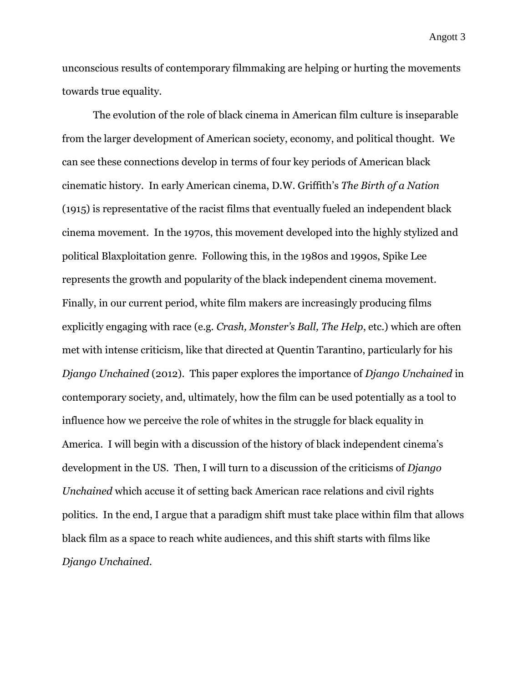unconscious results of contemporary filmmaking are helping or hurting the movements towards true equality.

The evolution of the role of black cinema in American film culture is inseparable from the larger development of American society, economy, and political thought. We can see these connections develop in terms of four key periods of American black cinematic history. In early American cinema, D.W. Griffith's *The Birth of a Nation* (1915) is representative of the racist films that eventually fueled an independent black cinema movement. In the 1970s, this movement developed into the highly stylized and political Blaxploitation genre. Following this, in the 1980s and 1990s, Spike Lee represents the growth and popularity of the black independent cinema movement. Finally, in our current period, white film makers are increasingly producing films explicitly engaging with race (e.g. *Crash, Monster's Ball, The Help*, etc.) which are often met with intense criticism, like that directed at Quentin Tarantino, particularly for his *Django Unchained* (2012). This paper explores the importance of *Django Unchained* in contemporary society, and, ultimately, how the film can be used potentially as a tool to influence how we perceive the role of whites in the struggle for black equality in America. I will begin with a discussion of the history of black independent cinema's development in the US. Then, I will turn to a discussion of the criticisms of *Django Unchained* which accuse it of setting back American race relations and civil rights politics. In the end, I argue that a paradigm shift must take place within film that allows black film as a space to reach white audiences, and this shift starts with films like *Django Unchained*.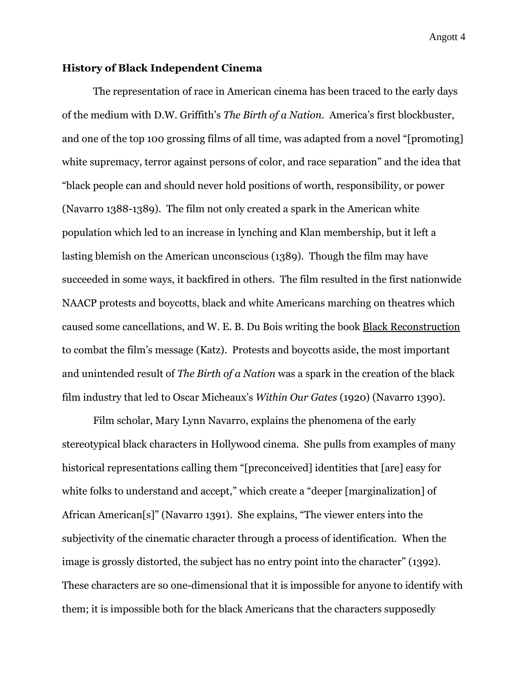## **History of Black Independent Cinema**

The representation of race in American cinema has been traced to the early days of the medium with D.W. Griffith's *The Birth of a Nation*. America's first blockbuster, and one of the top 100 grossing films of all time, was adapted from a novel "[promoting] white supremacy, terror against persons of color, and race separation" and the idea that "black people can and should never hold positions of worth, responsibility, or power (Navarro 1388-1389). The film not only created a spark in the American white population which led to an increase in lynching and Klan membership, but it left a lasting blemish on the American unconscious (1389). Though the film may have succeeded in some ways, it backfired in others. The film resulted in the first nationwide NAACP protests and boycotts, black and white Americans marching on theatres which caused some cancellations, and W. E. B. Du Bois writing the book Black Reconstruction to combat the film's message (Katz). Protests and boycotts aside, the most important and unintended result of *The Birth of a Nation* was a spark in the creation of the black film industry that led to Oscar Micheaux's *Within Our Gates* (1920) (Navarro 1390).

Film scholar, Mary Lynn Navarro, explains the phenomena of the early stereotypical black characters in Hollywood cinema. She pulls from examples of many historical representations calling them "[preconceived] identities that [are] easy for white folks to understand and accept," which create a "deeper [marginalization] of African American[s]" (Navarro 1391). She explains, "The viewer enters into the subjectivity of the cinematic character through a process of identification. When the image is grossly distorted, the subject has no entry point into the character" (1392). These characters are so one-dimensional that it is impossible for anyone to identify with them; it is impossible both for the black Americans that the characters supposedly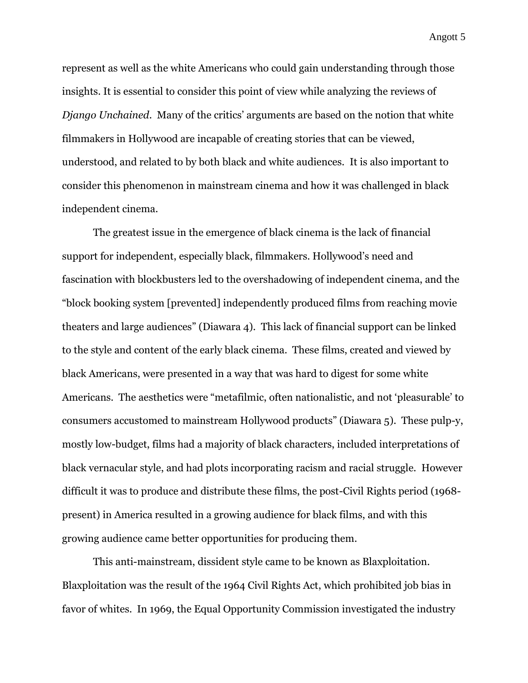represent as well as the white Americans who could gain understanding through those insights. It is essential to consider this point of view while analyzing the reviews of *Django Unchained*. Many of the critics' arguments are based on the notion that white filmmakers in Hollywood are incapable of creating stories that can be viewed, understood, and related to by both black and white audiences. It is also important to consider this phenomenon in mainstream cinema and how it was challenged in black independent cinema.

The greatest issue in the emergence of black cinema is the lack of financial support for independent, especially black, filmmakers. Hollywood's need and fascination with blockbusters led to the overshadowing of independent cinema, and the "block booking system [prevented] independently produced films from reaching movie theaters and large audiences" (Diawara 4). This lack of financial support can be linked to the style and content of the early black cinema. These films, created and viewed by black Americans, were presented in a way that was hard to digest for some white Americans. The aesthetics were "metafilmic, often nationalistic, and not 'pleasurable' to consumers accustomed to mainstream Hollywood products" (Diawara 5). These pulp-y, mostly low-budget, films had a majority of black characters, included interpretations of black vernacular style, and had plots incorporating racism and racial struggle. However difficult it was to produce and distribute these films, the post-Civil Rights period (1968 present) in America resulted in a growing audience for black films, and with this growing audience came better opportunities for producing them.

This anti-mainstream, dissident style came to be known as Blaxploitation. Blaxploitation was the result of the 1964 Civil Rights Act, which prohibited job bias in favor of whites. In 1969, the Equal Opportunity Commission investigated the industry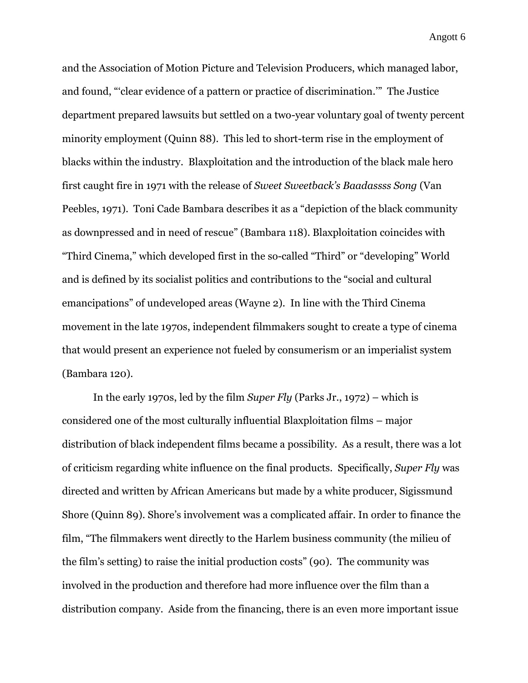and the Association of Motion Picture and Television Producers, which managed labor, and found, "'clear evidence of a pattern or practice of discrimination.'" The Justice department prepared lawsuits but settled on a two-year voluntary goal of twenty percent minority employment (Quinn 88). This led to short-term rise in the employment of blacks within the industry. Blaxploitation and the introduction of the black male hero first caught fire in 1971 with the release of *Sweet Sweetback's Baadassss Song* (Van Peebles, 1971). Toni Cade Bambara describes it as a "depiction of the black community as downpressed and in need of rescue" (Bambara 118). Blaxploitation coincides with "Third Cinema," which developed first in the so-called "Third" or "developing" World and is defined by its socialist politics and contributions to the "social and cultural emancipations" of undeveloped areas (Wayne 2). In line with the Third Cinema movement in the late 1970s, independent filmmakers sought to create a type of cinema that would present an experience not fueled by consumerism or an imperialist system (Bambara 120).

In the early 1970s, led by the film *Super Fly* (Parks Jr., 1972) – which is considered one of the most culturally influential Blaxploitation films – major distribution of black independent films became a possibility. As a result, there was a lot of criticism regarding white influence on the final products. Specifically, *Super Fly* was directed and written by African Americans but made by a white producer, Sigissmund Shore (Quinn 89). Shore's involvement was a complicated affair. In order to finance the film, "The filmmakers went directly to the Harlem business community (the milieu of the film's setting) to raise the initial production costs" (90). The community was involved in the production and therefore had more influence over the film than a distribution company. Aside from the financing, there is an even more important issue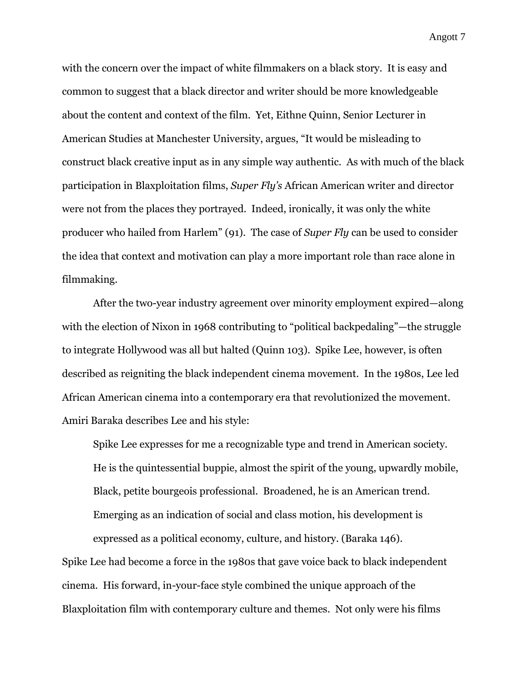with the concern over the impact of white filmmakers on a black story. It is easy and common to suggest that a black director and writer should be more knowledgeable about the content and context of the film. Yet, Eithne Quinn, Senior Lecturer in American Studies at Manchester University, argues, "It would be misleading to construct black creative input as in any simple way authentic. As with much of the black participation in Blaxploitation films, *Super Fly's* African American writer and director were not from the places they portrayed. Indeed, ironically, it was only the white producer who hailed from Harlem" (91). The case of *Super Fly* can be used to consider the idea that context and motivation can play a more important role than race alone in filmmaking.

After the two-year industry agreement over minority employment expired—along with the election of Nixon in 1968 contributing to "political backpedaling"—the struggle to integrate Hollywood was all but halted (Quinn 103). Spike Lee, however, is often described as reigniting the black independent cinema movement. In the 1980s, Lee led African American cinema into a contemporary era that revolutionized the movement. Amiri Baraka describes Lee and his style:

Spike Lee expresses for me a recognizable type and trend in American society. He is the quintessential buppie, almost the spirit of the young, upwardly mobile, Black, petite bourgeois professional. Broadened, he is an American trend. Emerging as an indication of social and class motion, his development is expressed as a political economy, culture, and history. (Baraka 146).

Spike Lee had become a force in the 1980s that gave voice back to black independent cinema. His forward, in-your-face style combined the unique approach of the Blaxploitation film with contemporary culture and themes. Not only were his films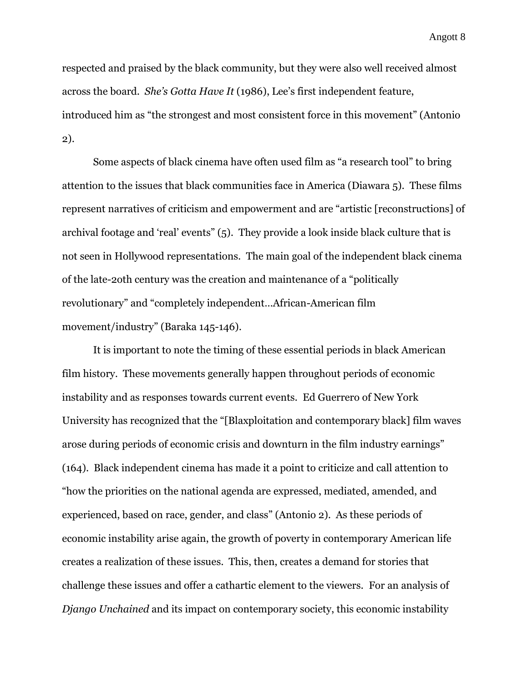respected and praised by the black community, but they were also well received almost across the board. *She's Gotta Have It* (1986), Lee's first independent feature, introduced him as "the strongest and most consistent force in this movement" (Antonio 2).

Some aspects of black cinema have often used film as "a research tool" to bring attention to the issues that black communities face in America (Diawara 5). These films represent narratives of criticism and empowerment and are "artistic [reconstructions] of archival footage and 'real' events" (5). They provide a look inside black culture that is not seen in Hollywood representations. The main goal of the independent black cinema of the late-2oth century was the creation and maintenance of a "politically revolutionary" and "completely independent…African-American film movement/industry" (Baraka 145-146).

It is important to note the timing of these essential periods in black American film history. These movements generally happen throughout periods of economic instability and as responses towards current events. Ed Guerrero of New York University has recognized that the "[Blaxploitation and contemporary black] film waves arose during periods of economic crisis and downturn in the film industry earnings" (164). Black independent cinema has made it a point to criticize and call attention to "how the priorities on the national agenda are expressed, mediated, amended, and experienced, based on race, gender, and class" (Antonio 2). As these periods of economic instability arise again, the growth of poverty in contemporary American life creates a realization of these issues. This, then, creates a demand for stories that challenge these issues and offer a cathartic element to the viewers. For an analysis of *Django Unchained* and its impact on contemporary society, this economic instability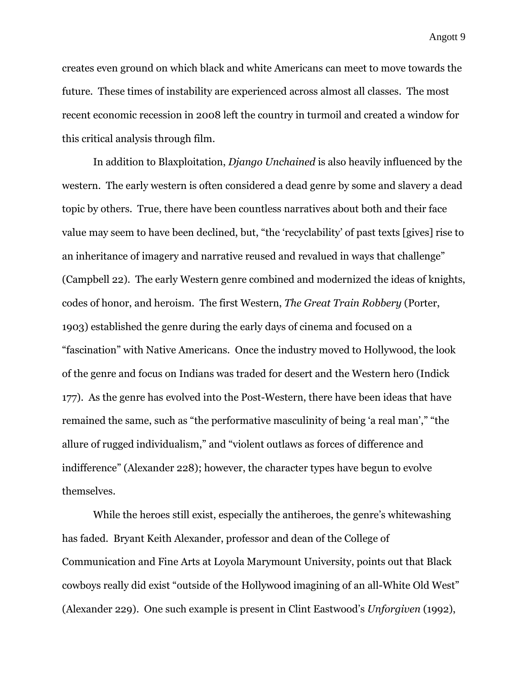creates even ground on which black and white Americans can meet to move towards the future. These times of instability are experienced across almost all classes. The most recent economic recession in 2008 left the country in turmoil and created a window for this critical analysis through film.

In addition to Blaxploitation, *Django Unchained* is also heavily influenced by the western. The early western is often considered a dead genre by some and slavery a dead topic by others. True, there have been countless narratives about both and their face value may seem to have been declined, but, "the 'recyclability' of past texts [gives] rise to an inheritance of imagery and narrative reused and revalued in ways that challenge" (Campbell 22). The early Western genre combined and modernized the ideas of knights, codes of honor, and heroism. The first Western, *The Great Train Robbery* (Porter, 1903) established the genre during the early days of cinema and focused on a "fascination" with Native Americans. Once the industry moved to Hollywood, the look of the genre and focus on Indians was traded for desert and the Western hero (Indick 177). As the genre has evolved into the Post-Western, there have been ideas that have remained the same, such as "the performative masculinity of being 'a real man'," "the allure of rugged individualism," and "violent outlaws as forces of difference and indifference" (Alexander 228); however, the character types have begun to evolve themselves.

While the heroes still exist, especially the antiheroes, the genre's whitewashing has faded. Bryant Keith Alexander, professor and dean of the College of Communication and Fine Arts at Loyola Marymount University, points out that Black cowboys really did exist "outside of the Hollywood imagining of an all-White Old West" (Alexander 229). One such example is present in Clint Eastwood's *Unforgiven* (1992),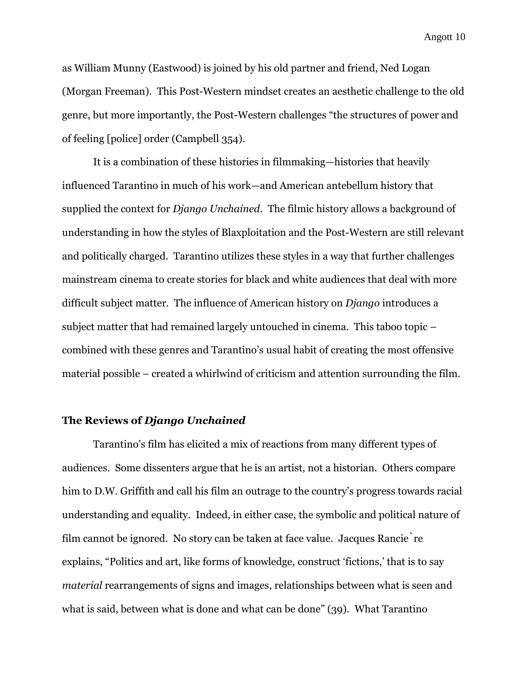as William Munny (Eastwood) is joined by his old partner and friend, Ned Logan (Morgan Freeman). This Post-Western mindset creates an aesthetic challenge to the old genre, but more importantly, the Post-Western challenges "the structures of power and of feeling [police] order (Campbell 354).

It is a combination of these histories in filmmaking—histories that heavily influenced Tarantino in much of his work—and American antebellum history that supplied the context for *Django Unchained*. The filmic history allows a background of understanding in how the styles of Blaxploitation and the Post-Western are still relevant and politically charged. Tarantino utilizes these styles in a way that further challenges mainstream cinema to create stories for black and white audiences that deal with more difficult subject matter. The influence of American history on *Django* introduces a subject matter that had remained largely untouched in cinema. This taboo topic – combined with these genres and Tarantino's usual habit of creating the most offensive material possible – created a whirlwind of criticism and attention surrounding the film.

#### **The Reviews of** *Django Unchained*

Tarantino's film has elicited a mix of reactions from many different types of audiences. Some dissenters argue that he is an artist, not a historian. Others compare him to D.W. Griffith and call his film an outrage to the country's progress towards racial understanding and equality. Indeed, in either case, the symbolic and political nature of film cannot be ignored. No story can be taken at face value. Jacques Rancière explains, "Politics and art, like forms of knowledge, construct 'fictions,' that is to say *material* rearrangements of signs and images, relationships between what is seen and what is said, between what is done and what can be done" (39). What Tarantino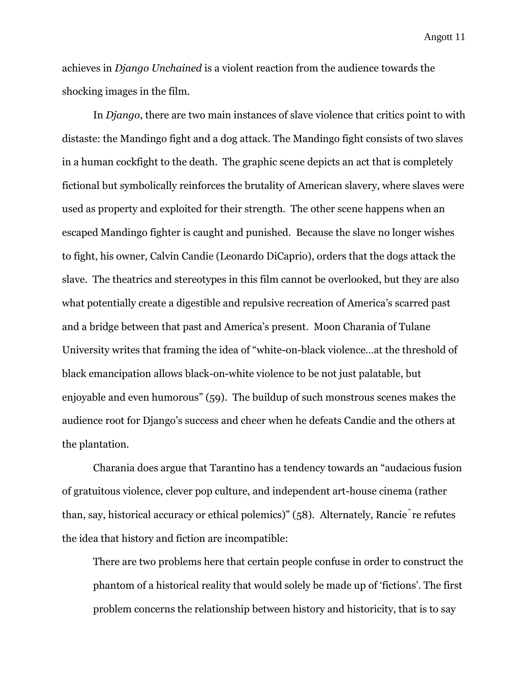achieves in *Django Unchained* is a violent reaction from the audience towards the shocking images in the film.

In *Django*, there are two main instances of slave violence that critics point to with distaste: the Mandingo fight and a dog attack. The Mandingo fight consists of two slaves in a human cockfight to the death. The graphic scene depicts an act that is completely fictional but symbolically reinforces the brutality of American slavery, where slaves were used as property and exploited for their strength. The other scene happens when an escaped Mandingo fighter is caught and punished. Because the slave no longer wishes to fight, his owner, Calvin Candie (Leonardo DiCaprio), orders that the dogs attack the slave. The theatrics and stereotypes in this film cannot be overlooked, but they are also what potentially create a digestible and repulsive recreation of America's scarred past and a bridge between that past and America's present. Moon Charania of Tulane University writes that framing the idea of "white-on-black violence…at the threshold of black emancipation allows black-on-white violence to be not just palatable, but enjoyable and even humorous" (59). The buildup of such monstrous scenes makes the audience root for Django's success and cheer when he defeats Candie and the others at the plantation.

Charania does argue that Tarantino has a tendency towards an "audacious fusion of gratuitous violence, clever pop culture, and independent art-house cinema (rather than, say, historical accuracy or ethical polemics)" (58). Alternately, Rancie re refutes the idea that history and fiction are incompatible:

There are two problems here that certain people confuse in order to construct the phantom of a historical reality that would solely be made up of 'fictions'. The first problem concerns the relationship between history and historicity, that is to say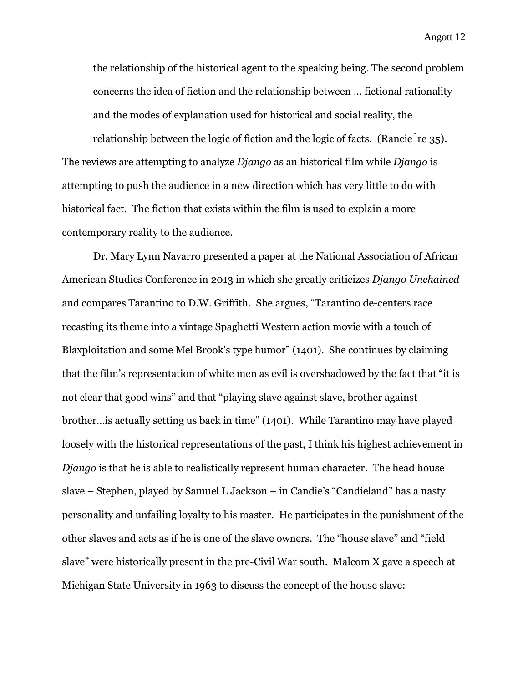the relationship of the historical agent to the speaking being. The second problem concerns the idea of fiction and the relationship between … fictional rationality and the modes of explanation used for historical and social reality, the relationship between the logic of fiction and the logic of facts. (Rancie re  $35$ ). The reviews are attempting to analyze *Django* as an historical film while *Django* is attempting to push the audience in a new direction which has very little to do with historical fact. The fiction that exists within the film is used to explain a more

contemporary reality to the audience.

Dr. Mary Lynn Navarro presented a paper at the National Association of African American Studies Conference in 2013 in which she greatly criticizes *Django Unchained* and compares Tarantino to D.W. Griffith. She argues, "Tarantino de-centers race recasting its theme into a vintage Spaghetti Western action movie with a touch of Blaxploitation and some Mel Brook's type humor" (1401). She continues by claiming that the film's representation of white men as evil is overshadowed by the fact that "it is not clear that good wins" and that "playing slave against slave, brother against brother…is actually setting us back in time" (1401). While Tarantino may have played loosely with the historical representations of the past, I think his highest achievement in *Django* is that he is able to realistically represent human character. The head house slave – Stephen, played by Samuel L Jackson – in Candie's "Candieland" has a nasty personality and unfailing loyalty to his master. He participates in the punishment of the other slaves and acts as if he is one of the slave owners. The "house slave" and "field slave" were historically present in the pre-Civil War south. Malcom X gave a speech at Michigan State University in 1963 to discuss the concept of the house slave: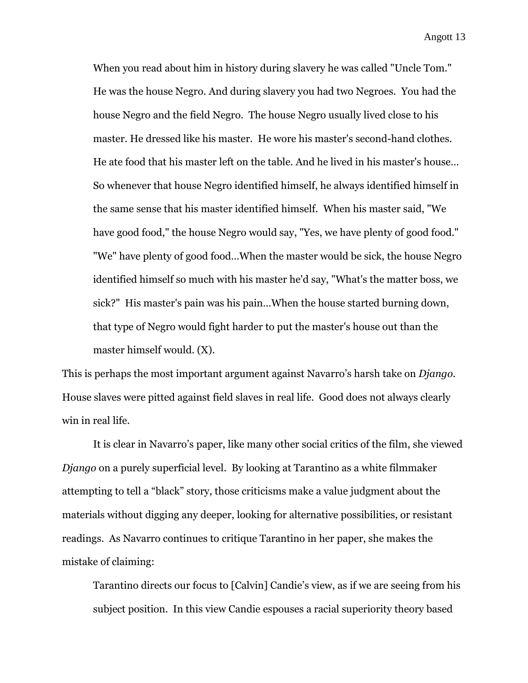When you read about him in history during slavery he was called "Uncle Tom." He was the house Negro. And during slavery you had two Negroes. You had the house Negro and the field Negro. The house Negro usually lived close to his master. He dressed like his master. He wore his master's second-hand clothes. He ate food that his master left on the table. And he lived in his master's house… So whenever that house Negro identified himself, he always identified himself in the same sense that his master identified himself. When his master said, "We have good food," the house Negro would say, "Yes, we have plenty of good food." "We" have plenty of good food…When the master would be sick, the house Negro identified himself so much with his master he'd say, "What's the matter boss, we sick?" His master's pain was his pain…When the house started burning down, that type of Negro would fight harder to put the master's house out than the master himself would. (X).

This is perhaps the most important argument against Navarro's harsh take on *Django*. House slaves were pitted against field slaves in real life. Good does not always clearly win in real life.

It is clear in Navarro's paper, like many other social critics of the film, she viewed *Django* on a purely superficial level. By looking at Tarantino as a white filmmaker attempting to tell a "black" story, those criticisms make a value judgment about the materials without digging any deeper, looking for alternative possibilities, or resistant readings. As Navarro continues to critique Tarantino in her paper, she makes the mistake of claiming:

Tarantino directs our focus to [Calvin] Candie's view, as if we are seeing from his subject position. In this view Candie espouses a racial superiority theory based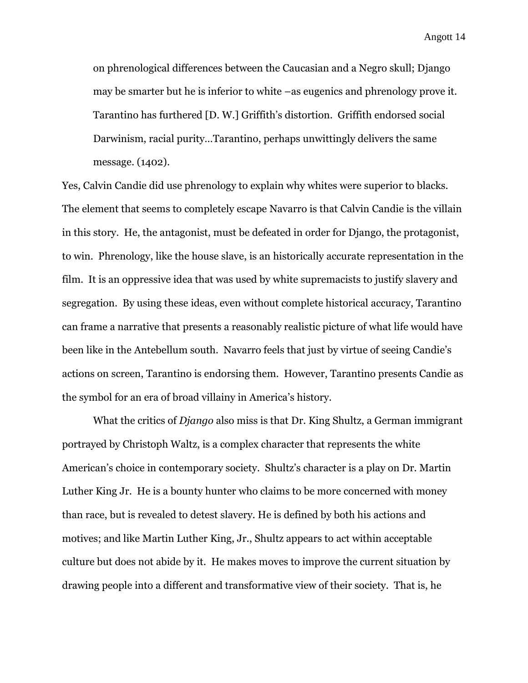on phrenological differences between the Caucasian and a Negro skull; Django may be smarter but he is inferior to white –as eugenics and phrenology prove it. Tarantino has furthered [D. W.] Griffith's distortion. Griffith endorsed social Darwinism, racial purity…Tarantino, perhaps unwittingly delivers the same message. (1402).

Yes, Calvin Candie did use phrenology to explain why whites were superior to blacks. The element that seems to completely escape Navarro is that Calvin Candie is the villain in this story. He, the antagonist, must be defeated in order for Django, the protagonist, to win. Phrenology, like the house slave, is an historically accurate representation in the film. It is an oppressive idea that was used by white supremacists to justify slavery and segregation. By using these ideas, even without complete historical accuracy, Tarantino can frame a narrative that presents a reasonably realistic picture of what life would have been like in the Antebellum south. Navarro feels that just by virtue of seeing Candie's actions on screen, Tarantino is endorsing them. However, Tarantino presents Candie as the symbol for an era of broad villainy in America's history.

What the critics of *Django* also miss is that Dr. King Shultz, a German immigrant portrayed by Christoph Waltz, is a complex character that represents the white American's choice in contemporary society. Shultz's character is a play on Dr. Martin Luther King Jr. He is a bounty hunter who claims to be more concerned with money than race, but is revealed to detest slavery. He is defined by both his actions and motives; and like Martin Luther King, Jr., Shultz appears to act within acceptable culture but does not abide by it. He makes moves to improve the current situation by drawing people into a different and transformative view of their society. That is, he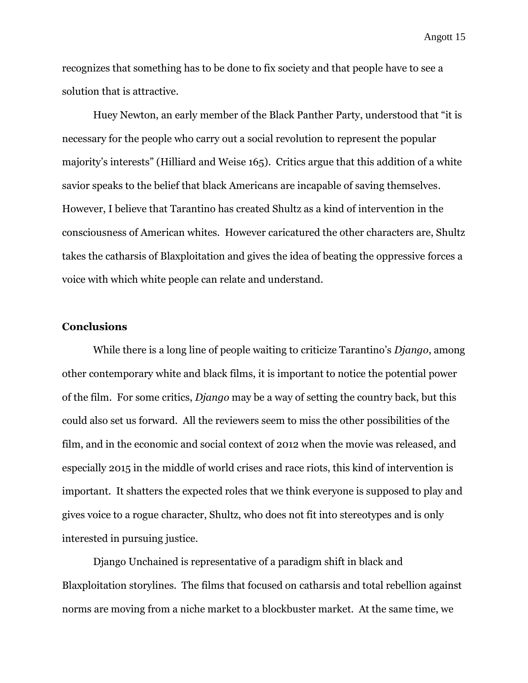recognizes that something has to be done to fix society and that people have to see a solution that is attractive.

Huey Newton, an early member of the Black Panther Party, understood that "it is necessary for the people who carry out a social revolution to represent the popular majority's interests" (Hilliard and Weise 165). Critics argue that this addition of a white savior speaks to the belief that black Americans are incapable of saving themselves. However, I believe that Tarantino has created Shultz as a kind of intervention in the consciousness of American whites. However caricatured the other characters are, Shultz takes the catharsis of Blaxploitation and gives the idea of beating the oppressive forces a voice with which white people can relate and understand.

### **Conclusions**

While there is a long line of people waiting to criticize Tarantino's *Django*, among other contemporary white and black films, it is important to notice the potential power of the film. For some critics, *Django* may be a way of setting the country back, but this could also set us forward. All the reviewers seem to miss the other possibilities of the film, and in the economic and social context of 2012 when the movie was released, and especially 2015 in the middle of world crises and race riots, this kind of intervention is important. It shatters the expected roles that we think everyone is supposed to play and gives voice to a rogue character, Shultz, who does not fit into stereotypes and is only interested in pursuing justice.

Django Unchained is representative of a paradigm shift in black and Blaxploitation storylines. The films that focused on catharsis and total rebellion against norms are moving from a niche market to a blockbuster market. At the same time, we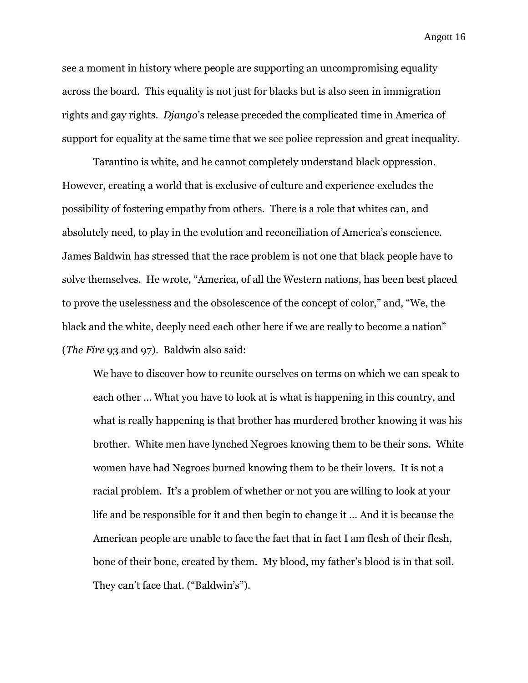see a moment in history where people are supporting an uncompromising equality across the board. This equality is not just for blacks but is also seen in immigration rights and gay rights. *Django*'s release preceded the complicated time in America of support for equality at the same time that we see police repression and great inequality.

Tarantino is white, and he cannot completely understand black oppression. However, creating a world that is exclusive of culture and experience excludes the possibility of fostering empathy from others. There is a role that whites can, and absolutely need, to play in the evolution and reconciliation of America's conscience. James Baldwin has stressed that the race problem is not one that black people have to solve themselves. He wrote, "America, of all the Western nations, has been best placed to prove the uselessness and the obsolescence of the concept of color," and, "We, the black and the white, deeply need each other here if we are really to become a nation" (*The Fire* 93 and 97). Baldwin also said:

We have to discover how to reunite ourselves on terms on which we can speak to each other … What you have to look at is what is happening in this country, and what is really happening is that brother has murdered brother knowing it was his brother. White men have lynched Negroes knowing them to be their sons. White women have had Negroes burned knowing them to be their lovers. It is not a racial problem. It's a problem of whether or not you are willing to look at your life and be responsible for it and then begin to change it … And it is because the American people are unable to face the fact that in fact I am flesh of their flesh, bone of their bone, created by them. My blood, my father's blood is in that soil. They can't face that. ("Baldwin's").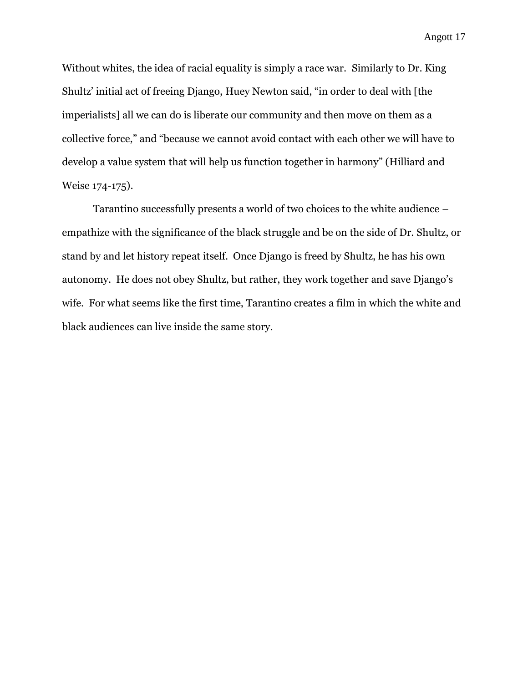Without whites, the idea of racial equality is simply a race war. Similarly to Dr. King Shultz' initial act of freeing Django, Huey Newton said, "in order to deal with [the imperialists] all we can do is liberate our community and then move on them as a collective force," and "because we cannot avoid contact with each other we will have to develop a value system that will help us function together in harmony" (Hilliard and Weise 174-175).

Tarantino successfully presents a world of two choices to the white audience – empathize with the significance of the black struggle and be on the side of Dr. Shultz, or stand by and let history repeat itself. Once Django is freed by Shultz, he has his own autonomy. He does not obey Shultz, but rather, they work together and save Django's wife. For what seems like the first time, Tarantino creates a film in which the white and black audiences can live inside the same story.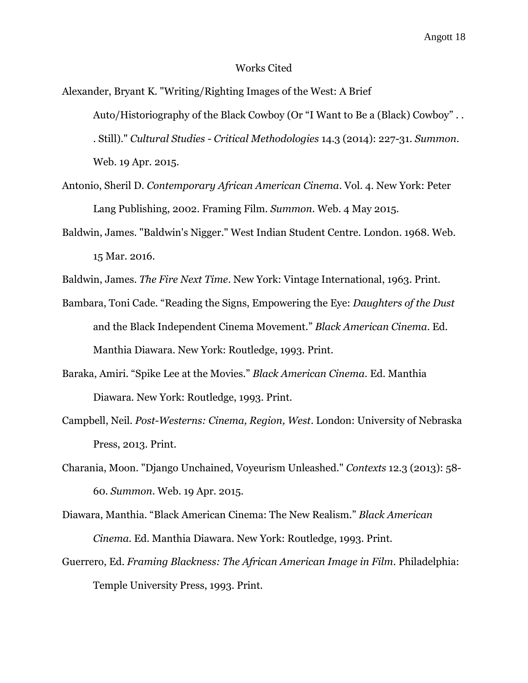#### Works Cited

Alexander, Bryant K. "Writing/Righting Images of the West: A Brief Auto/Historiography of the Black Cowboy (Or "I Want to Be a (Black) Cowboy" . . . Still)." *Cultural Studies - Critical Methodologies* 14.3 (2014): 227-31. *Summon*. Web. 19 Apr. 2015.

- Antonio, Sheril D. *Contemporary African American Cinema*. Vol. 4. New York: Peter Lang Publishing, 2002. Framing Film. *Summon*. Web. 4 May 2015.
- Baldwin, James. "Baldwin's Nigger." West Indian Student Centre. London. 1968. Web. 15 Mar. 2016.

Baldwin, James. *The Fire Next Time*. New York: Vintage International, 1963. Print.

- Bambara, Toni Cade. "Reading the Signs, Empowering the Eye: *Daughters of the Dust* and the Black Independent Cinema Movement." *Black American Cinema*. Ed. Manthia Diawara. New York: Routledge, 1993. Print.
- Baraka, Amiri. "Spike Lee at the Movies." *Black American Cinema*. Ed. Manthia Diawara. New York: Routledge, 1993. Print.
- Campbell, Neil. *Post-Westerns: Cinema, Region, West*. London: University of Nebraska Press, 2013. Print.
- Charania, Moon. "Django Unchained, Voyeurism Unleashed." *Contexts* 12.3 (2013): 58- 60. *Summon*. Web. 19 Apr. 2015.
- Diawara, Manthia. "Black American Cinema: The New Realism." *Black American Cinema*. Ed. Manthia Diawara. New York: Routledge, 1993. Print.
- Guerrero, Ed. *Framing Blackness: The African American Image in Film*. Philadelphia: Temple University Press, 1993. Print.